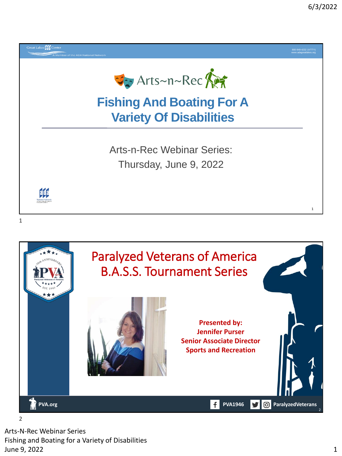

**PVA.org PVA.org PVA.org PVA1946 PVA1946 PVA1946 PVA1946 PVA1946 PVA1946 PVA1946 P** 



Arts-N-Rec Webinar Series Fishing and Boating for a Variety of Disabilities June 9, 2022 1

 $\overline{\phantom{a}}$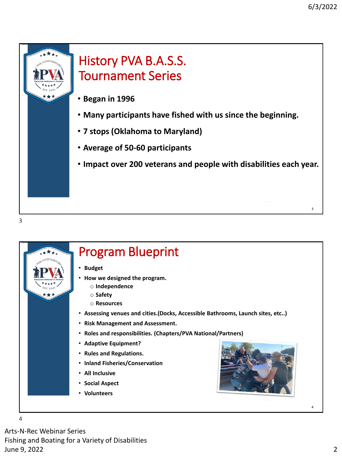

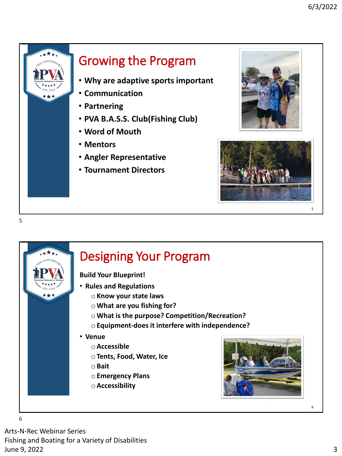

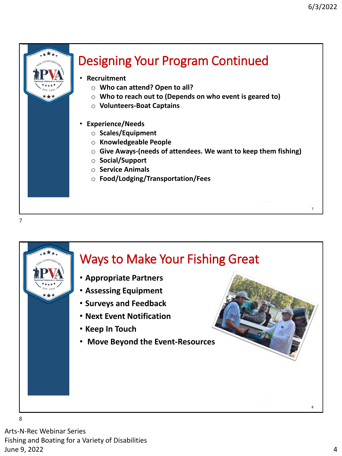



8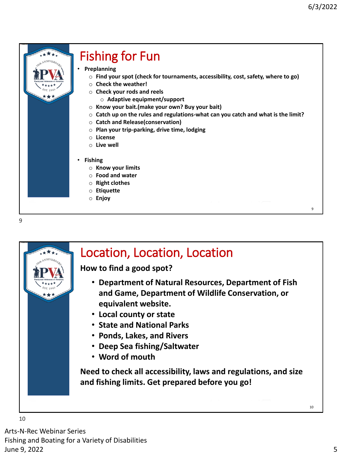$\alpha$ 



# Fishing for Fun

- **Preplanning**
	- o **Find your spot (check for tournaments, accessibility, cost, safety, where to go)**
	- o **Check the weather!**
	- o **Check your rods and reels**
		- o **Adaptive equipment/support**
	- o **Know your bait.(make your own? Buy your bait)**
	- o **Catch up on the rules and regulations-what can you catch and what is the limit?**
	- o **Catch and Release(conservation)**
	- o **Plan your trip-parking, drive time, lodging**
	- o **License**
	- o **Live well**
- **Fishing**
	- o **Know your limits**
	- o **Food and water**
	- o **Right clothes**
	- o **Etiquette**
	- o **Enjoy**



### Location, Location, Location

**How to find a good spot?**

- **Department of Natural Resources, Department of Fish and Game, Department of Wildlife Conservation, or equivalent website.**
- **Local county or state**
- **State and National Parks**
- **Ponds, Lakes, and Rivers**
- **Deep Sea fishing/Saltwater**
- **Word of mouth**

**Need to check all accessibility, laws and regulations, and size and fishing limits. Get prepared before you go!**

10

Arts-N-Rec Webinar Series Fishing and Boating for a Variety of Disabilities June 9, 2022 5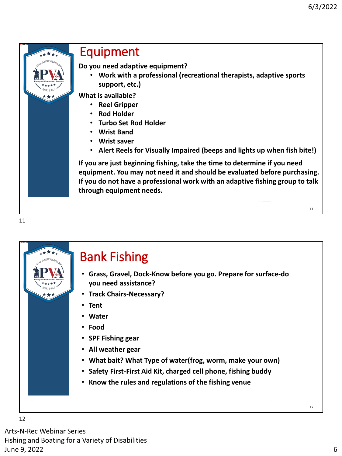11



#### Equipment

**Do you need adaptive equipment?**

• **Work with a professional (recreational therapists, adaptive sports support, etc.)**

**What is available?**

- **Reel Gripper**
- **Rod Holder**
- **Turbo Set Rod Holder**
- **Wrist Band**
- **Wrist saver**
- **Alert Reels for Visually Impaired (beeps and lights up when fish bite!)**

**If you are just beginning fishing, take the time to determine if you need equipment. You may not need it and should be evaluated before purchasing. If you do not have a professional work with an adaptive fishing group to talk through equipment needs.**

11



## Bank Fishing

- **Grass, Gravel, Dock-Know before you go. Prepare for surface-do you need assistance?**
- **Track Chairs-Necessary?**
- **Tent**
- **Water**
- **Food**
- **SPF Fishing gear**
- **All weather gear**
- **What bait? What Type of water(frog, worm, make your own)**
- **Safety First-First Aid Kit, charged cell phone, fishing buddy**
- **Know the rules and regulations of the fishing venue**

12

Arts-N-Rec Webinar Series Fishing and Boating for a Variety of Disabilities June 9, 2022 6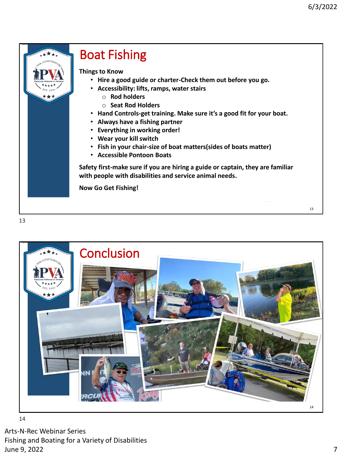13



## Boat Fishing

**Things to Know**

- **Hire a good guide or charter-Check them out before you go.**
- **Accessibility: lifts, ramps, water stairs**
	- o **Rod holders**
	- o **Seat Rod Holders**
- **Hand Controls-get training. Make sure it's a good fit for your boat.**
- **Always have a fishing partner**
- **Everything in working order!**
- **Wear your kill switch**
- **Fish in your chair-size of boat matters(sides of boats matter)**
- **Accessible Pontoon Boats**

**Safety first-make sure if you are hiring a guide or captain, they are familiar with people with disabilities and service animal needs.**

**Now Go Get Fishing!**

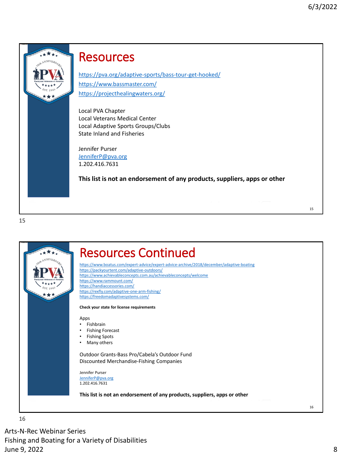



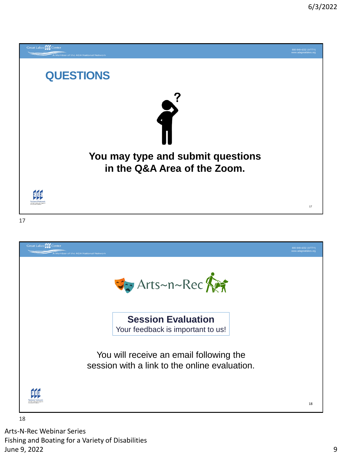

ada

18

Arts-N-Rec Webinar Series Fishing and Boating for a Variety of Disabilities June 9, 2022 9